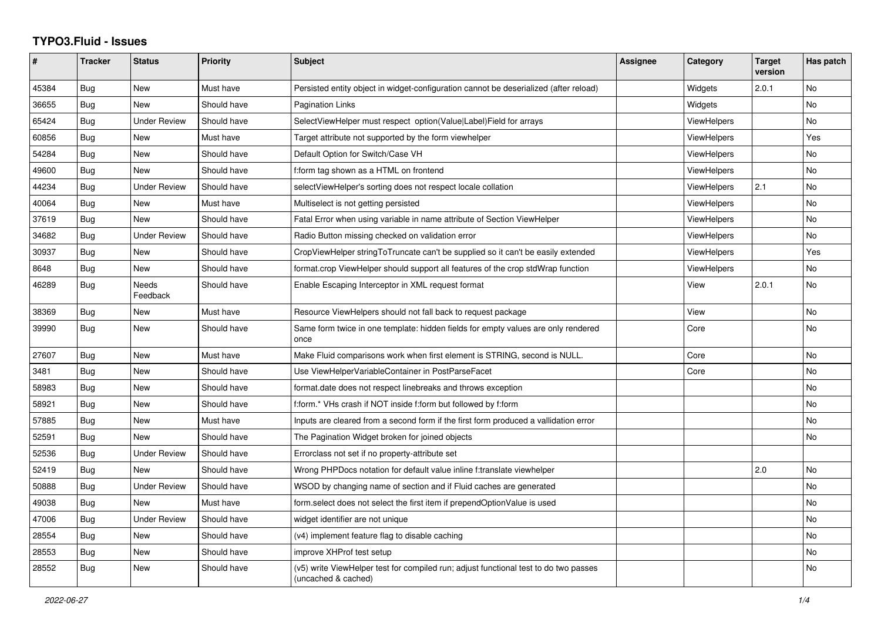## **TYPO3.Fluid - Issues**

| #     | <b>Tracker</b> | <b>Status</b>       | <b>Priority</b> | <b>Subject</b>                                                                                              | <b>Assignee</b> | Category           | <b>Target</b><br>version | Has patch |
|-------|----------------|---------------------|-----------------|-------------------------------------------------------------------------------------------------------------|-----------------|--------------------|--------------------------|-----------|
| 45384 | Bug            | New                 | Must have       | Persisted entity object in widget-configuration cannot be deserialized (after reload)                       |                 | Widgets            | 2.0.1                    | No        |
| 36655 | Bug            | New                 | Should have     | <b>Pagination Links</b>                                                                                     |                 | Widgets            |                          | No        |
| 65424 | Bug            | <b>Under Review</b> | Should have     | SelectViewHelper must respect option(Value Label)Field for arrays                                           |                 | <b>ViewHelpers</b> |                          | No        |
| 60856 | <b>Bug</b>     | New                 | Must have       | Target attribute not supported by the form viewhelper                                                       |                 | <b>ViewHelpers</b> |                          | Yes       |
| 54284 | Bug            | New                 | Should have     | Default Option for Switch/Case VH                                                                           |                 | <b>ViewHelpers</b> |                          | No        |
| 49600 | Bug            | <b>New</b>          | Should have     | f:form tag shown as a HTML on frontend                                                                      |                 | <b>ViewHelpers</b> |                          | No.       |
| 44234 | Bug            | <b>Under Review</b> | Should have     | selectViewHelper's sorting does not respect locale collation                                                |                 | <b>ViewHelpers</b> | 2.1                      | No        |
| 40064 | Bug            | New                 | Must have       | Multiselect is not getting persisted                                                                        |                 | <b>ViewHelpers</b> |                          | No        |
| 37619 | Bug            | New                 | Should have     | Fatal Error when using variable in name attribute of Section ViewHelper                                     |                 | <b>ViewHelpers</b> |                          | No        |
| 34682 | Bug            | <b>Under Review</b> | Should have     | Radio Button missing checked on validation error                                                            |                 | <b>ViewHelpers</b> |                          | No        |
| 30937 | Bug            | New                 | Should have     | CropViewHelper stringToTruncate can't be supplied so it can't be easily extended                            |                 | <b>ViewHelpers</b> |                          | Yes       |
| 8648  | <b>Bug</b>     | New                 | Should have     | format.crop ViewHelper should support all features of the crop stdWrap function                             |                 | ViewHelpers        |                          | No        |
| 46289 | <b>Bug</b>     | Needs<br>Feedback   | Should have     | Enable Escaping Interceptor in XML request format                                                           |                 | View               | 2.0.1                    | No        |
| 38369 | Bug            | New                 | Must have       | Resource ViewHelpers should not fall back to request package                                                |                 | View               |                          | No        |
| 39990 | <b>Bug</b>     | <b>New</b>          | Should have     | Same form twice in one template: hidden fields for empty values are only rendered<br>once                   |                 | Core               |                          | No        |
| 27607 | Bug            | <b>New</b>          | Must have       | Make Fluid comparisons work when first element is STRING, second is NULL.                                   |                 | Core               |                          | No        |
| 3481  | <b>Bug</b>     | <b>New</b>          | Should have     | Use ViewHelperVariableContainer in PostParseFacet                                                           |                 | Core               |                          | No        |
| 58983 | Bug            | New                 | Should have     | format.date does not respect linebreaks and throws exception                                                |                 |                    |                          | No        |
| 58921 | Bug            | New                 | Should have     | f:form.* VHs crash if NOT inside f:form but followed by f:form                                              |                 |                    |                          | No        |
| 57885 | Bug            | New                 | Must have       | Inputs are cleared from a second form if the first form produced a vallidation error                        |                 |                    |                          | No.       |
| 52591 | Bug            | <b>New</b>          | Should have     | The Pagination Widget broken for joined objects                                                             |                 |                    |                          | No        |
| 52536 | Bug            | Under Review        | Should have     | Errorclass not set if no property-attribute set                                                             |                 |                    |                          |           |
| 52419 | <b>Bug</b>     | New                 | Should have     | Wrong PHPDocs notation for default value inline f:translate viewhelper                                      |                 |                    | 2.0                      | No        |
| 50888 | Bug            | <b>Under Review</b> | Should have     | WSOD by changing name of section and if Fluid caches are generated                                          |                 |                    |                          | No        |
| 49038 | Bug            | New                 | Must have       | form.select does not select the first item if prependOptionValue is used                                    |                 |                    |                          | No        |
| 47006 | Bug            | <b>Under Review</b> | Should have     | widget identifier are not unique                                                                            |                 |                    |                          | <b>No</b> |
| 28554 | Bug            | New                 | Should have     | (v4) implement feature flag to disable caching                                                              |                 |                    |                          | No        |
| 28553 | Bug            | New                 | Should have     | improve XHProf test setup                                                                                   |                 |                    |                          | No        |
| 28552 | Bug            | New                 | Should have     | (v5) write ViewHelper test for compiled run; adjust functional test to do two passes<br>(uncached & cached) |                 |                    |                          | No.       |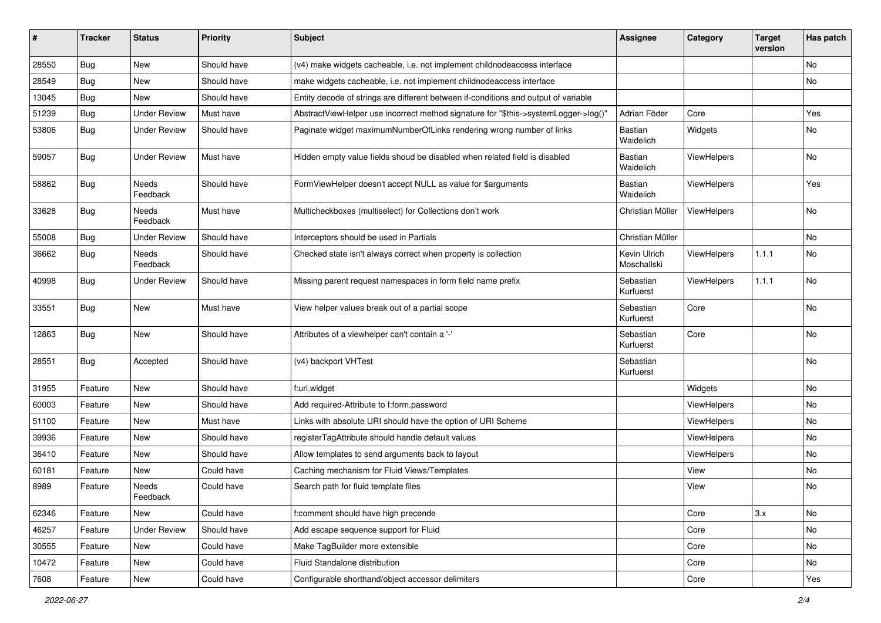| #     | <b>Tracker</b> | <b>Status</b>            | <b>Priority</b> | Subject                                                                             | Assignee                    | Category           | <b>Target</b><br>version | Has patch |
|-------|----------------|--------------------------|-----------------|-------------------------------------------------------------------------------------|-----------------------------|--------------------|--------------------------|-----------|
| 28550 | Bug            | New                      | Should have     | (v4) make widgets cacheable, i.e. not implement childnodeaccess interface           |                             |                    |                          | <b>No</b> |
| 28549 | Bug            | New                      | Should have     | make widgets cacheable, i.e. not implement childnodeaccess interface                |                             |                    |                          | No        |
| 13045 | <b>Bug</b>     | New                      | Should have     | Entity decode of strings are different between if-conditions and output of variable |                             |                    |                          |           |
| 51239 | Bug            | <b>Under Review</b>      | Must have       | AbstractViewHelper use incorrect method signature for "\$this->systemLogger->log()" | Adrian Föder                | Core               |                          | Yes       |
| 53806 | <b>Bug</b>     | Under Review             | Should have     | Paginate widget maximumNumberOfLinks rendering wrong number of links                | Bastian<br>Waidelich        | Widgets            |                          | No        |
| 59057 | Bug            | <b>Under Review</b>      | Must have       | Hidden empty value fields shoud be disabled when related field is disabled          | <b>Bastian</b><br>Waidelich | ViewHelpers        |                          | No        |
| 58862 | Bug            | <b>Needs</b><br>Feedback | Should have     | FormViewHelper doesn't accept NULL as value for \$arguments                         | <b>Bastian</b><br>Waidelich | <b>ViewHelpers</b> |                          | Yes       |
| 33628 | Bug            | Needs<br>Feedback        | Must have       | Multicheckboxes (multiselect) for Collections don't work                            | Christian Müller            | ViewHelpers        |                          | No        |
| 55008 | Bug            | <b>Under Review</b>      | Should have     | Interceptors should be used in Partials                                             | Christian Müller            |                    |                          | No        |
| 36662 | <b>Bug</b>     | Needs<br>Feedback        | Should have     | Checked state isn't always correct when property is collection                      | Kevin Ulrich<br>Moschallski | ViewHelpers        | 1.1.1                    | No        |
| 40998 | Bug            | Under Review             | Should have     | Missing parent request namespaces in form field name prefix                         | Sebastian<br>Kurfuerst      | <b>ViewHelpers</b> | 1.1.1                    | No        |
| 33551 | Bug            | New                      | Must have       | View helper values break out of a partial scope                                     | Sebastian<br>Kurfuerst      | Core               |                          | No        |
| 12863 | Bug            | <b>New</b>               | Should have     | Attributes of a viewhelper can't contain a '-'                                      | Sebastian<br>Kurfuerst      | Core               |                          | No        |
| 28551 | Bug            | Accepted                 | Should have     | (v4) backport VHTest                                                                | Sebastian<br>Kurfuerst      |                    |                          | No        |
| 31955 | Feature        | New                      | Should have     | f:uri.widget                                                                        |                             | Widgets            |                          | No        |
| 60003 | Feature        | New                      | Should have     | Add required-Attribute to f:form.password                                           |                             | ViewHelpers        |                          | No        |
| 51100 | Feature        | New                      | Must have       | Links with absolute URI should have the option of URI Scheme                        |                             | ViewHelpers        |                          | <b>No</b> |
| 39936 | Feature        | New                      | Should have     | registerTagAttribute should handle default values                                   |                             | ViewHelpers        |                          | No        |
| 36410 | Feature        | New                      | Should have     | Allow templates to send arguments back to layout                                    |                             | ViewHelpers        |                          | No        |
| 60181 | Feature        | New                      | Could have      | Caching mechanism for Fluid Views/Templates                                         |                             | View               |                          | No        |
| 8989  | Feature        | Needs<br>Feedback        | Could have      | Search path for fluid template files                                                |                             | View               |                          | No        |
| 62346 | Feature        | New                      | Could have      | f:comment should have high precende                                                 |                             | Core               | 3.x                      | No        |
| 46257 | Feature        | <b>Under Review</b>      | Should have     | Add escape sequence support for Fluid                                               |                             | Core               |                          | No        |
| 30555 | Feature        | New                      | Could have      | Make TagBuilder more extensible                                                     |                             | Core               |                          | No        |
| 10472 | Feature        | New                      | Could have      | Fluid Standalone distribution                                                       |                             | Core               |                          | No        |
| 7608  | Feature        | New                      | Could have      | Configurable shorthand/object accessor delimiters                                   |                             | Core               |                          | Yes       |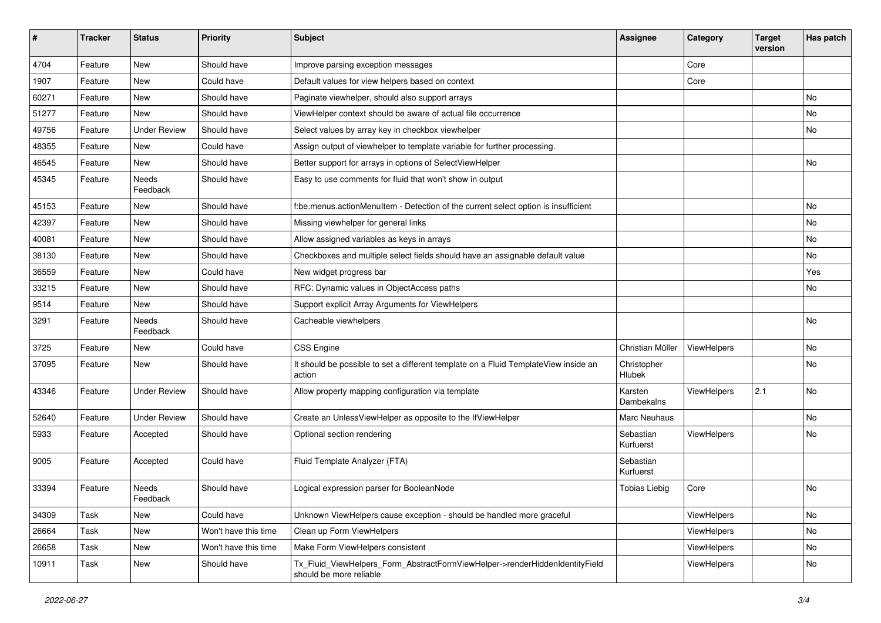| #     | <b>Tracker</b> | <b>Status</b>       | <b>Priority</b>      | Subject                                                                                                | <b>Assignee</b>        | Category    | <b>Target</b><br>version | Has patch |
|-------|----------------|---------------------|----------------------|--------------------------------------------------------------------------------------------------------|------------------------|-------------|--------------------------|-----------|
| 4704  | Feature        | New                 | Should have          | Improve parsing exception messages                                                                     |                        | Core        |                          |           |
| 1907  | Feature        | New                 | Could have           | Default values for view helpers based on context                                                       |                        | Core        |                          |           |
| 60271 | Feature        | New                 | Should have          | Paginate viewhelper, should also support arrays                                                        |                        |             |                          | No        |
| 51277 | Feature        | <b>New</b>          | Should have          | ViewHelper context should be aware of actual file occurrence                                           |                        |             |                          | No        |
| 49756 | Feature        | <b>Under Review</b> | Should have          | Select values by array key in checkbox viewhelper                                                      |                        |             |                          | No        |
| 48355 | Feature        | New                 | Could have           | Assign output of viewhelper to template variable for further processing.                               |                        |             |                          |           |
| 46545 | Feature        | New                 | Should have          | Better support for arrays in options of SelectViewHelper                                               |                        |             |                          | No        |
| 45345 | Feature        | Needs<br>Feedback   | Should have          | Easy to use comments for fluid that won't show in output                                               |                        |             |                          |           |
| 45153 | Feature        | New                 | Should have          | f:be.menus.actionMenuItem - Detection of the current select option is insufficient                     |                        |             |                          | No.       |
| 42397 | Feature        | New                 | Should have          | Missing viewhelper for general links                                                                   |                        |             |                          | No        |
| 40081 | Feature        | New                 | Should have          | Allow assigned variables as keys in arrays                                                             |                        |             |                          | No        |
| 38130 | Feature        | New                 | Should have          | Checkboxes and multiple select fields should have an assignable default value                          |                        |             |                          | No        |
| 36559 | Feature        | New                 | Could have           | New widget progress bar                                                                                |                        |             |                          | Yes       |
| 33215 | Feature        | New                 | Should have          | RFC: Dynamic values in ObjectAccess paths                                                              |                        |             |                          | No        |
| 9514  | Feature        | New                 | Should have          | Support explicit Array Arguments for ViewHelpers                                                       |                        |             |                          |           |
| 3291  | Feature        | Needs<br>Feedback   | Should have          | Cacheable viewhelpers                                                                                  |                        |             |                          | <b>No</b> |
| 3725  | Feature        | <b>New</b>          | Could have           | <b>CSS Engine</b>                                                                                      | Christian Müller       | ViewHelpers |                          | No.       |
| 37095 | Feature        | New                 | Should have          | It should be possible to set a different template on a Fluid TemplateView inside an<br>action          | Christopher<br>Hlubek  |             |                          | No        |
| 43346 | Feature        | <b>Under Review</b> | Should have          | Allow property mapping configuration via template                                                      | Karsten<br>Dambekalns  | ViewHelpers | 2.1                      | No        |
| 52640 | Feature        | <b>Under Review</b> | Should have          | Create an UnlessViewHelper as opposite to the IfViewHelper                                             | Marc Neuhaus           |             |                          | No        |
| 5933  | Feature        | Accepted            | Should have          | Optional section rendering                                                                             | Sebastian<br>Kurfuerst | ViewHelpers |                          | No        |
| 9005  | Feature        | Accepted            | Could have           | Fluid Template Analyzer (FTA)                                                                          | Sebastian<br>Kurfuerst |             |                          |           |
| 33394 | Feature        | Needs<br>Feedback   | Should have          | Logical expression parser for BooleanNode                                                              | <b>Tobias Liebig</b>   | Core        |                          | No        |
| 34309 | Task           | New                 | Could have           | Unknown ViewHelpers cause exception - should be handled more graceful                                  |                        | ViewHelpers |                          | No        |
| 26664 | Task           | New                 | Won't have this time | Clean up Form ViewHelpers                                                                              |                        | ViewHelpers |                          | No        |
| 26658 | Task           | New                 | Won't have this time | Make Form ViewHelpers consistent                                                                       |                        | ViewHelpers |                          | No        |
| 10911 | Task           | New                 | Should have          | Tx_Fluid_ViewHelpers_Form_AbstractFormViewHelper->renderHiddenIdentityField<br>should be more reliable |                        | ViewHelpers |                          | No        |